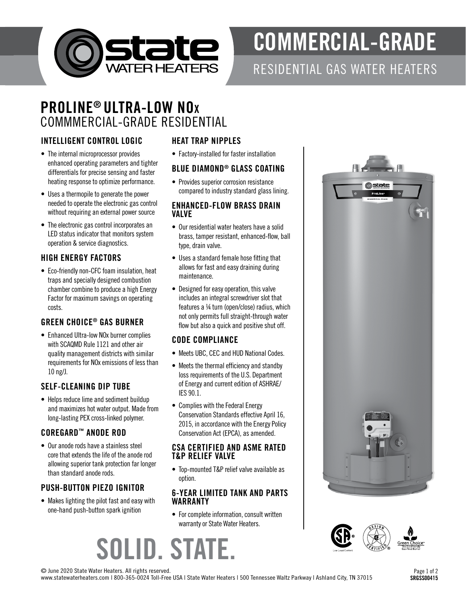

# COMMERCIAL-GRADE

### RESIDENTIAL GAS WATER HEATERS

# PROLINE® ULTRA-LOW NOx COMMMERCIAL-GRADE RESIDENTIAL

#### INTELLIGENT CONTROL LOGIC

- The internal microprocessor provides enhanced operating parameters and tighter differentials for precise sensing and faster heating response to optimize performance.
- Uses a thermopile to generate the power needed to operate the electronic gas control without requiring an external power source
- The electronic gas control incorporates an LED status indicator that monitors system operation & service diagnostics.

#### HIGH ENERGY FACTORS

• Eco-friendly non-CFC foam insulation, heat traps and specially designed combustion chamber combine to produce a high Energy Factor for maximum savings on operating costs.

#### GREEN CHOICE® GAS BURNER

• Enhanced Ultra-low NOx burner complies with SCAQMD Rule 1121 and other air quality management districts with similar requirements for NOx emissions of less than 10 ng/J.

#### SELF-CLEANING DIP TUBE

• Helps reduce lime and sediment buildup and maximizes hot water output. Made from long-lasting PEX cross-linked polymer.

#### COREGARD™ ANODE ROD

• Our anode rods have a stainless steel core that extends the life of the anode rod allowing superior tank protection far longer than standard anode rods.

#### PUSH-BUTTON PIEZO IGNITOR

• Makes lighting the pilot fast and easy with one-hand push-button spark ignition

#### HEAT TRAP NIPPLES

• Factory-installed for faster installation

#### BLUE DIAMOND® GLASS COATING

• Provides superior corrosion resistance compared to industry standard glass lining.

#### ENHANCED-FLOW BRASS DRAIN VALVE

- Our residential water heaters have a solid brass, tamper resistant, enhanced-flow, ball type, drain valve.
- Uses a standard female hose fitting that allows for fast and easy draining during maintenance.
- Designed for easy operation, this valve includes an integral screwdriver slot that features a ¼ turn (open/close) radius, which not only permits full straight-through water flow but also a quick and positive shut off.

#### CODE COMPLIANCE

- Meets UBC, CEC and HUD National Codes.
- Meets the thermal efficiency and standby loss requirements of the U.S. Department of Energy and current edition of ASHRAE/ IES 90.1.
- Complies with the Federal Energy Conservation Standards effective April 16, 2015, in accordance with the Energy Policy Conservation Act (EPCA), as amended.

#### CSA CERTIFIED AND ASME RATED T&P RELIEF VALVE

• Top-mounted T&P relief valve available as option.

#### 6-YEAR LIMITED TANK AND PARTS WARRANTY

• For complete information, consult written warranty or State Water Heaters.







© June 2020 State Water Heaters. All rights reserved.

www.statewaterheaters.com | 800-365-0024 Toll-Free USA | State Water Heaters | 500 Tennessee Waltz Parkway | Ashland City, TN 37015